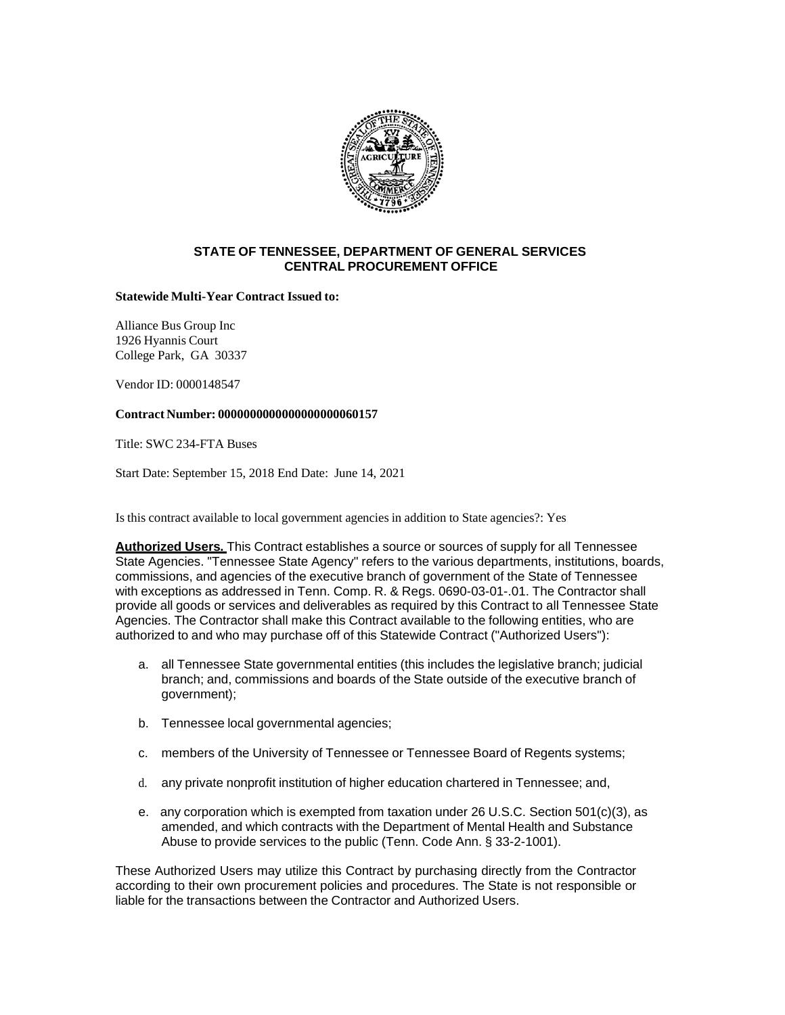

## **STATE OF TENNESSEE, DEPARTMENT OF GENERAL SERVICES CENTRAL PROCUREMENT OFFICE**

## **Statewide Multi-Year Contract Issued to:**

Alliance Bus Group Inc 1926 Hyannis Court College Park, GA 30337

Vendor ID: 0000148547

## **Contract Number: 0000000000000000000060157**

Title: SWC 234-FTA Buses

Start Date: September 15, 2018 End Date: June 14, 2021

Is this contract available to local government agencies in addition to State agencies?: Yes

**Authorized Users.** This Contract establishes a source or sources of supply for all Tennessee State Agencies. "Tennessee State Agency" refers to the various departments, institutions, boards, commissions, and agencies of the executive branch of government of the State of Tennessee with exceptions as addressed in Tenn. Comp. R. & Regs. 0690-03-01-.01. The Contractor shall provide all goods or services and deliverables as required by this Contract to all Tennessee State Agencies. The Contractor shall make this Contract available to the following entities, who are authorized to and who may purchase off of this Statewide Contract ("Authorized Users"):

- a. all Tennessee State governmental entities (this includes the legislative branch; judicial branch; and, commissions and boards of the State outside of the executive branch of government);
- b. Tennessee local governmental agencies;
- c. members of the University of Tennessee or Tennessee Board of Regents systems;
- d. any private nonprofit institution of higher education chartered in Tennessee; and,
- e. any corporation which is exempted from taxation under 26 U.S.C. Section 501(c)(3), as amended, and which contracts with the Department of Mental Health and Substance Abuse to provide services to the public (Tenn. Code Ann. § 33-2-1001).

These Authorized Users may utilize this Contract by purchasing directly from the Contractor according to their own procurement policies and procedures. The State is not responsible or liable for the transactions between the Contractor and Authorized Users.